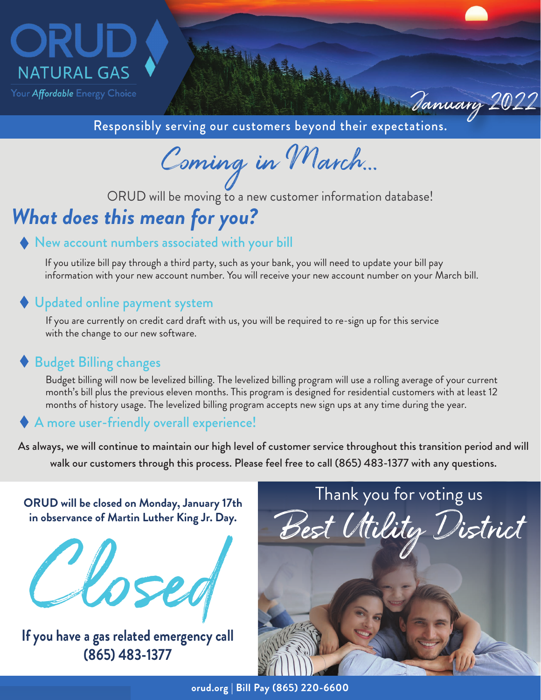

Responsibly serving our customers beyond their expectations.

Coming in March...

ORUD will be moving to a new customer information database!

# *What does this mean for you?*

#### ◆ New account numbers associated with your bill

If you utilize bill pay through a third party, such as your bank, you will need to update your bill pay information with your new account number. You will receive your new account number on your March bill.

#### ◆ Updated online payment system

If you are currently on credit card draft with us, you will be required to re-sign up for this service with the change to our new software.

### Budget Billing changes

Budget billing will now be levelized billing. The levelized billing program will use a rolling average of your current month's bill plus the previous eleven months. This program is designed for residential customers with at least 12 months of history usage. The levelized billing program accepts new sign ups at any time during the year.

#### A more user-friendly overall experience!

As always, we will continue to maintain our high level of customer service throughout this transition period and will walk our customers through this process. Please feel free to call (865) 483-1377 with any questions.



**If you have a gas related emergency call (865) 483-1377**



January 2022

**orud.org | Bill Pay (865) 220-6600**